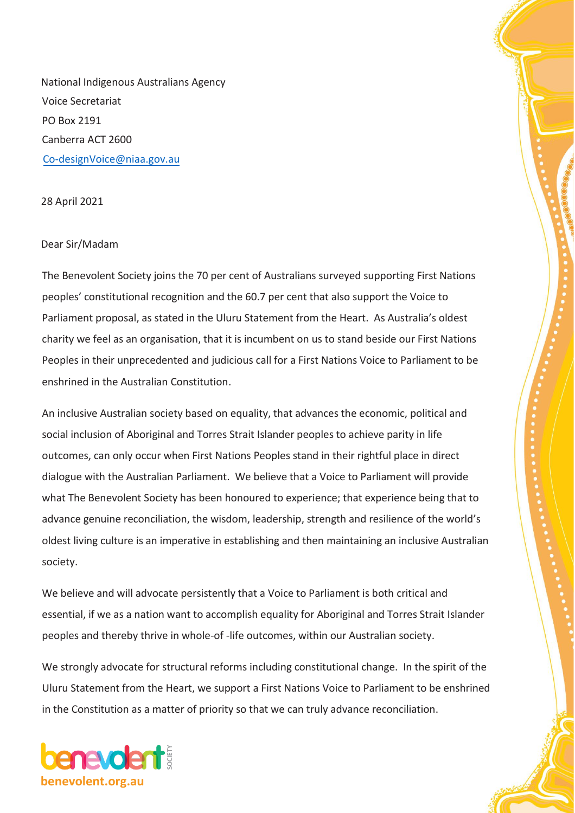National Indigenous Australians Agency Voice Secretariat PO Box 2191 Canberra ACT 2600 [Co-designVoice@niaa.gov.au](file:///C:/Users/MichaelCu/AppData/Local/Microsoft/Windows/INetCache/Content.Outlook/WH68XVHW/Co-designVoice@niaa.gov.au)

28 April 2021

## Dear Sir/Madam

The Benevolent Society joins the 70 per cent of Australians surveyed supporting First Nations peoples' constitutional recognition and the 60.7 per cent that also support the Voice to Parliament proposal, as stated in the Uluru Statement from the Heart. As Australia's oldest charity we feel as an organisation, that it is incumbent on us to stand beside our First Nations Peoples in their unprecedented and judicious call for a First Nations Voice to Parliament to be enshrined in the Australian Constitution.

An inclusive Australian society based on equality, that advances the economic, political and social inclusion of Aboriginal and Torres Strait Islander peoples to achieve parity in life outcomes, can only occur when First Nations Peoples stand in their rightful place in direct dialogue with the Australian Parliament. We believe that a Voice to Parliament will provide what The Benevolent Society has been honoured to experience; that experience being that to advance genuine reconciliation, the wisdom, leadership, strength and resilience of the world's oldest living culture is an imperative in establishing and then maintaining an inclusive Australian society.

We believe and will advocate persistently that a Voice to Parliament is both critical and essential, if we as a nation want to accomplish equality for Aboriginal and Torres Strait Islander peoples and thereby thrive in whole-of -life outcomes, within our Australian society.

We strongly advocate for structural reforms including constitutional change. In the spirit of the Uluru Statement from the Heart, we support a First Nations Voice to Parliament to be enshrined in the Constitution as a matter of priority so that we can truly advance reconciliation.